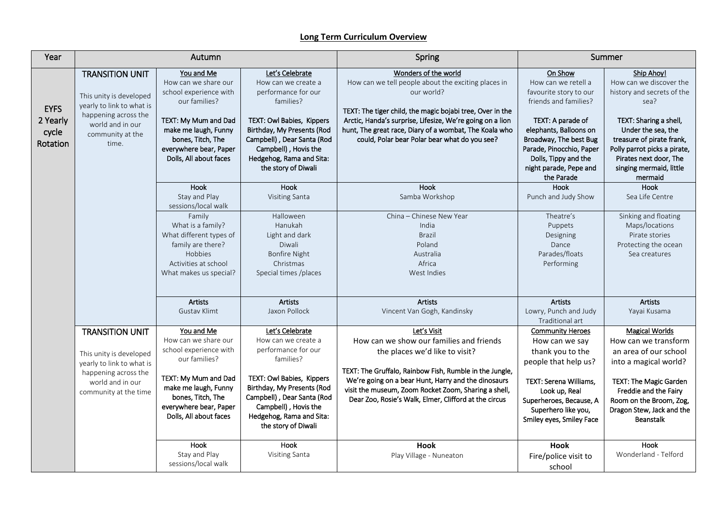## **Long Term Curriculum Overview**

| Year                                         | Autumn                                                                                                                                                  |                                                                                                                                                                                                        |                                                                                                                                                                                                                                                | Spring                                                                                                                                                                                                                                                                                                                         | Summer                                                                                                                                                                                                                                                 |                                                                                                                                                                                                                                                          |
|----------------------------------------------|---------------------------------------------------------------------------------------------------------------------------------------------------------|--------------------------------------------------------------------------------------------------------------------------------------------------------------------------------------------------------|------------------------------------------------------------------------------------------------------------------------------------------------------------------------------------------------------------------------------------------------|--------------------------------------------------------------------------------------------------------------------------------------------------------------------------------------------------------------------------------------------------------------------------------------------------------------------------------|--------------------------------------------------------------------------------------------------------------------------------------------------------------------------------------------------------------------------------------------------------|----------------------------------------------------------------------------------------------------------------------------------------------------------------------------------------------------------------------------------------------------------|
| <b>EYFS</b><br>2 Yearly<br>cycle<br>Rotation | <b>TRANSITION UNIT</b><br>This unity is developed<br>yearly to link to what is<br>happening across the<br>world and in our<br>community at the<br>time. | You and Me<br>How can we share our<br>school experience with<br>our families?<br>TEXT: My Mum and Dad<br>make me laugh, Funny<br>bones, Titch, The<br>everywhere bear, Paper<br>Dolls, All about faces | Let's Celebrate<br>How can we create a<br>performance for our<br>families?<br>TEXT: Owl Babies, Kippers<br>Birthday, My Presents (Rod<br>Campbell), Dear Santa (Rod<br>Campbell), Hovis the<br>Hedgehog, Rama and Sita:<br>the story of Diwali | Wonders of the world<br>How can we tell people about the exciting places in<br>our world?<br>TEXT: The tiger child, the magic bojabi tree, Over in the<br>Arctic, Handa's surprise, Lifesize, We're going on a lion<br>hunt, The great race, Diary of a wombat, The Koala who<br>could, Polar bear Polar bear what do you see? | On Show<br>How can we retell a<br>favourite story to our<br>friends and families?<br>TEXT: A parade of<br>elephants, Balloons on<br>Broadway, The best Bug<br>Parade, Pinocchio, Paper<br>Dolls, Tippy and the<br>night parade, Pepe and<br>the Parade | Ship Ahoy!<br>How can we discover the<br>history and secrets of the<br>sea?<br>TEXT: Sharing a shell,<br>Under the sea, the<br>treasure of pirate frank,<br>Polly parrot picks a pirate,<br>Pirates next door, The<br>singing mermaid, little<br>mermaid |
|                                              |                                                                                                                                                         | Hook<br>Stay and Play<br>sessions/local walk<br>Family<br>What is a family?<br>What different types of<br>family are there?<br>Hobbies<br>Activities at school<br>What makes us special?               | Hook<br>Visiting Santa<br>Halloween<br>Hanukah<br>Light and dark<br>Diwali<br><b>Bonfire Night</b><br>Christmas<br>Special times /places                                                                                                       | Hook<br>Samba Workshop<br>China - Chinese New Year<br>India<br><b>Brazil</b><br>Poland<br>Australia<br>Africa<br>West Indies                                                                                                                                                                                                   | <b>Hook</b><br>Punch and Judy Show<br>Theatre's<br>Puppets<br>Designing<br>Dance<br>Parades/floats<br>Performing                                                                                                                                       | Hook<br>Sea Life Centre<br>Sinking and floating<br>Maps/locations<br>Pirate stories<br>Protecting the ocean<br>Sea creatures                                                                                                                             |
|                                              |                                                                                                                                                         | <b>Artists</b><br><b>Gustav Klimt</b>                                                                                                                                                                  | <b>Artists</b><br>Jaxon Pollock                                                                                                                                                                                                                | <b>Artists</b><br>Vincent Van Gogh, Kandinsky                                                                                                                                                                                                                                                                                  | <b>Artists</b><br>Lowry, Punch and Judy<br>Traditional art                                                                                                                                                                                             | <b>Artists</b><br>Yayai Kusama                                                                                                                                                                                                                           |
|                                              | <b>TRANSITION UNIT</b><br>This unity is developed<br>yearly to link to what is<br>happening across the<br>world and in our<br>community at the time     | You and Me<br>How can we share our<br>school experience with<br>our families?<br>TEXT: My Mum and Dad<br>make me laugh, Funny<br>bones, Titch, The<br>everywhere bear, Paper<br>Dolls, All about faces | Let's Celebrate<br>How can we create a<br>performance for our<br>families?<br>TEXT: Owl Babies, Kippers<br>Birthday, My Presents (Rod<br>Campbell), Dear Santa (Rod<br>Campbell), Hovis the<br>Hedgehog, Rama and Sita:<br>the story of Diwali | Let's Visit<br>How can we show our families and friends<br>the places we'd like to visit?<br>TEXT: The Gruffalo, Rainbow Fish, Rumble in the Jungle,<br>We're going on a bear Hunt, Harry and the dinosaurs<br>visit the museum, Zoom Rocket Zoom, Sharing a shell,<br>Dear Zoo, Rosie's Walk, Elmer, Clifford at the circus   | <b>Community Heroes</b><br>How can we say<br>thank you to the<br>people that help us?<br><b>TEXT: Serena Williams,</b><br>Look up, Real<br>Superheroes, Because, A<br>Superhero like you,<br>Smiley eyes, Smiley Face                                  | <b>Magical Worlds</b><br>How can we transform<br>an area of our school<br>into a magical world?<br>TEXT: The Magic Garden<br>Freddie and the Fairy<br>Room on the Broom, Zog,<br>Dragon Stew, Jack and the<br><b>Beanstalk</b>                           |
|                                              |                                                                                                                                                         | Hook<br>Stay and Play<br>sessions/local walk                                                                                                                                                           | Hook<br>Visiting Santa                                                                                                                                                                                                                         | Hook<br>Play Village - Nuneaton                                                                                                                                                                                                                                                                                                | Hook<br>Fire/police visit to<br>school                                                                                                                                                                                                                 | Hook<br>Wonderland - Telford                                                                                                                                                                                                                             |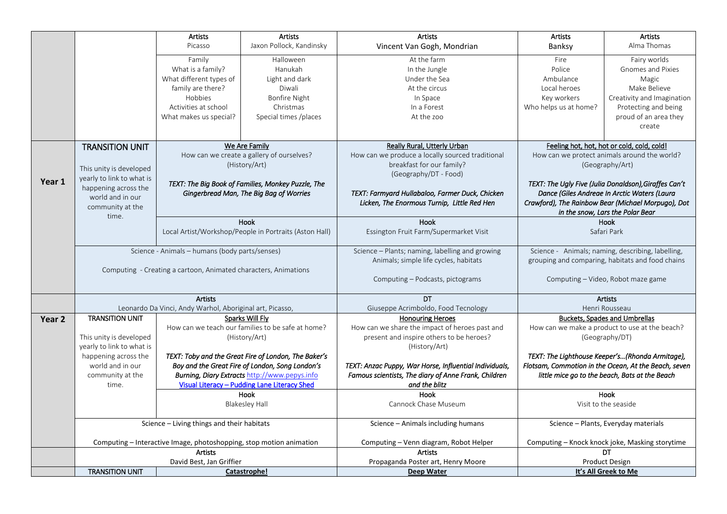|                   |                                                                                   | Artists                                                | Artists                                                | <b>Artists</b>                                    | Artists                                              | <b>Artists</b>                                        |
|-------------------|-----------------------------------------------------------------------------------|--------------------------------------------------------|--------------------------------------------------------|---------------------------------------------------|------------------------------------------------------|-------------------------------------------------------|
|                   |                                                                                   | Picasso                                                | Jaxon Pollock, Kandinsky                               | Vincent Van Gogh, Mondrian                        | Banksy                                               | Alma Thomas                                           |
|                   |                                                                                   | Family                                                 | Halloween                                              | At the farm                                       | Fire                                                 | Fairy worlds                                          |
|                   |                                                                                   | What is a family?                                      | Hanukah                                                | In the Jungle                                     | Police                                               | Gnomes and Pixies                                     |
|                   |                                                                                   | What different types of                                | Light and dark                                         | Under the Sea                                     | Ambulance                                            | Magic                                                 |
|                   |                                                                                   | family are there?                                      | Diwali                                                 | At the circus                                     | Local heroes                                         | Make Believe                                          |
|                   |                                                                                   | Hobbies                                                | Bonfire Night                                          | In Space                                          | Key workers                                          | Creativity and Imagination                            |
|                   |                                                                                   |                                                        |                                                        |                                                   |                                                      |                                                       |
|                   |                                                                                   | Activities at school                                   | Christmas                                              | In a Forest                                       | Who helps us at home?                                | Protecting and being                                  |
|                   |                                                                                   | What makes us special?                                 | Special times /places                                  | At the zoo                                        |                                                      | proud of an area they                                 |
|                   |                                                                                   |                                                        |                                                        |                                                   |                                                      | create                                                |
|                   |                                                                                   |                                                        |                                                        | <b>Really Rural, Utterly Urban</b>                |                                                      |                                                       |
|                   | We Are Family<br><b>TRANSITION UNIT</b>                                           |                                                        |                                                        | Feeling hot, hot, hot or cold, cold, cold!        |                                                      |                                                       |
|                   | How can we create a gallery of ourselves?                                         |                                                        | How can we produce a locally sourced traditional       | How can we protect animals around the world?      |                                                      |                                                       |
|                   | This unity is developed                                                           |                                                        | (History/Art)                                          | breakfast for our family?                         | (Geography/Art)                                      |                                                       |
|                   | yearly to link to what is                                                         |                                                        |                                                        | (Geography/DT - Food)                             |                                                      |                                                       |
| Year 1            | happening across the                                                              |                                                        | TEXT: The Big Book of Families, Monkey Puzzle, The     |                                                   |                                                      | TEXT: The Ugly Five (Julia Donaldson), Giraffes Can't |
|                   | world and in our                                                                  |                                                        | Gingerbread Man, The Big Bag of Worries                | TEXT: Farmyard Hullabaloo, Farmer Duck, Chicken   |                                                      | Dance (Giles Andreae In Arctic Waters (Laura          |
|                   |                                                                                   |                                                        |                                                        | Licken, The Enormous Turnip, Little Red Hen       | Crawford), The Rainbow Bear (Michael Morpugo), Dot   |                                                       |
|                   | time.                                                                             | community at the                                       |                                                        |                                                   |                                                      | in the snow, Lars the Polar Bear                      |
|                   |                                                                                   | Hook                                                   |                                                        | Hook                                              | <b>Hook</b>                                          |                                                       |
|                   |                                                                                   | Local Artist/Workshop/People in Portraits (Aston Hall) |                                                        | Essington Fruit Farm/Supermarket Visit            | Safari Park                                          |                                                       |
|                   |                                                                                   |                                                        |                                                        |                                                   |                                                      |                                                       |
|                   | Science - Animals - humans (body parts/senses)                                    |                                                        | Science - Plants; naming, labelling and growing        | Science - Animals; naming, describing, labelling, |                                                      |                                                       |
|                   |                                                                                   |                                                        |                                                        | Animals; simple life cycles, habitats             | grouping and comparing, habitats and food chains     |                                                       |
|                   | Computing - Creating a cartoon, Animated characters, Animations                   |                                                        |                                                        |                                                   |                                                      |                                                       |
|                   |                                                                                   |                                                        | Computing - Podcasts, pictograms                       |                                                   | Computing - Video, Robot maze game                   |                                                       |
|                   |                                                                                   |                                                        |                                                        |                                                   |                                                      |                                                       |
|                   | <b>Artists</b>                                                                    |                                                        |                                                        | DT                                                | Artists                                              |                                                       |
|                   | Leonardo Da Vinci, Andy Warhol, Aboriginal art, Picasso,                          |                                                        | Giuseppe Acrimboldo, Food Tecnology                    | Henri Rousseau                                    |                                                      |                                                       |
| Year <sub>2</sub> |                                                                                   | <b>TRANSITION UNIT</b><br>Sparks Will Fly              |                                                        | <b>Honouring Heroes</b>                           | <b>Buckets, Spades and Umbrellas</b>                 |                                                       |
|                   | How can we teach our families to be safe at home?                                 |                                                        | How can we share the impact of heroes past and         | How can we make a product to use at the beach?    |                                                      |                                                       |
|                   | This unity is developed<br>(History/Art)                                          |                                                        | present and inspire others to be heroes?               |                                                   | (Geography/DT)                                       |                                                       |
|                   | yearly to link to what is                                                         |                                                        | (History/Art)                                          |                                                   |                                                      |                                                       |
|                   | happening across the<br>TEXT: Toby and the Great Fire of London, The Baker's      |                                                        |                                                        |                                                   | TEXT: The Lighthouse Keeper's(Rhonda Armitage),      |                                                       |
|                   | world and in our<br>Boy and the Great Fire of London, Song London's               |                                                        | TEXT: Anzac Puppy, War Horse, Influential Individuals, |                                                   | Flotsam, Commotion in the Ocean, At the Beach, seven |                                                       |
|                   | <b>Burning, Diary Extracts http://www.pepys.infollegy.com</b><br>community at the |                                                        | Famous scientists, The diary of Anne Frank, Children   |                                                   | little mice go to the beach, Bats at the Beach       |                                                       |
|                   | time.                                                                             | Visual Literacy - Pudding Lane Literacy Shed           |                                                        | and the blitz                                     |                                                      |                                                       |
|                   |                                                                                   | Hook                                                   |                                                        | <b>Hook</b>                                       | Hook                                                 |                                                       |
|                   |                                                                                   |                                                        | <b>Blakesley Hall</b>                                  | Cannock Chase Museum                              |                                                      | Visit to the seaside                                  |
|                   |                                                                                   |                                                        |                                                        |                                                   |                                                      |                                                       |
|                   | Science - Living things and their habitats                                        |                                                        | Science - Animals including humans                     |                                                   | Science - Plants, Everyday materials                 |                                                       |
|                   |                                                                                   |                                                        |                                                        |                                                   |                                                      |                                                       |
|                   | Computing - Interactive Image, photoshopping, stop motion animation               |                                                        | Computing - Venn diagram, Robot Helper                 | Computing - Knock knock joke, Masking storytime   |                                                      |                                                       |
|                   | <b>Artists</b>                                                                    |                                                        |                                                        | <b>Artists</b>                                    | DT                                                   |                                                       |
|                   | David Best, Jan Griffier                                                          |                                                        | Propaganda Poster art, Henry Moore                     | Product Design                                    |                                                      |                                                       |
|                   | <b>TRANSITION UNIT</b>                                                            |                                                        | Catastrophe!                                           | Deep Water                                        |                                                      | It's All Greek to Me                                  |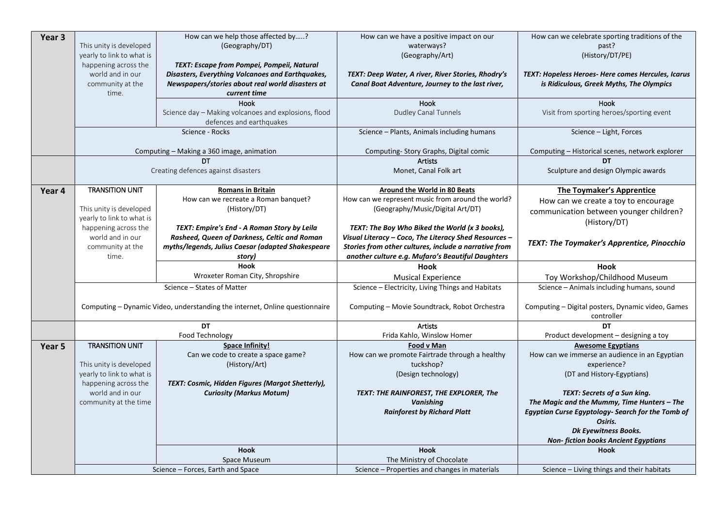| Year 3 |                                                      | How can we help those affected by?                                                             | How can we have a positive impact on our                  | How can we celebrate sporting traditions of the                 |  |
|--------|------------------------------------------------------|------------------------------------------------------------------------------------------------|-----------------------------------------------------------|-----------------------------------------------------------------|--|
|        | This unity is developed                              | (Geography/DT)                                                                                 | waterways?                                                | past?                                                           |  |
|        | yearly to link to what is<br>happening across the    |                                                                                                | (Geography/Art)                                           | (History/DT/PE)                                                 |  |
|        | world and in our                                     | TEXT: Escape from Pompei, Pompeii, Natural<br>Disasters, Everything Volcanoes and Earthquakes, | TEXT: Deep Water, A river, River Stories, Rhodry's        | TEXT: Hopeless Heroes- Here comes Hercules, Icarus              |  |
|        | community at the                                     | Newspapers/stories about real world disasters at                                               | Canal Boat Adventure, Journey to the last river,          | is Ridiculous, Greek Myths, The Olympics                        |  |
|        | time.                                                | current time                                                                                   |                                                           |                                                                 |  |
|        |                                                      | Hook                                                                                           | Hook                                                      | Hook                                                            |  |
|        |                                                      | Science day - Making volcanoes and explosions, flood                                           | Dudley Canal Tunnels                                      | Visit from sporting heroes/sporting event                       |  |
|        |                                                      | defences and earthquakes                                                                       |                                                           |                                                                 |  |
|        |                                                      | Science - Rocks                                                                                | Science - Plants, Animals including humans                | Science - Light, Forces                                         |  |
|        | Computing - Making a 360 image, animation            |                                                                                                | Computing- Story Graphs, Digital comic                    | Computing - Historical scenes, network explorer                 |  |
|        | <b>DT</b>                                            |                                                                                                | <b>Artists</b>                                            | <b>DT</b>                                                       |  |
|        |                                                      | Creating defences against disasters                                                            | Monet, Canal Folk art                                     | Sculpture and design Olympic awards                             |  |
|        |                                                      |                                                                                                |                                                           |                                                                 |  |
| Year 4 | <b>TRANSITION UNIT</b>                               | <b>Romans in Britain</b>                                                                       | <b>Around the World in 80 Beats</b>                       | <b>The Toymaker's Apprentice</b>                                |  |
|        |                                                      | How can we recreate a Roman banquet?                                                           | How can we represent music from around the world?         | How can we create a toy to encourage                            |  |
|        | This unity is developed<br>yearly to link to what is | (History/DT)                                                                                   | (Geography/Music/Digital Art/DT)                          | communication between younger children?                         |  |
|        | happening across the                                 | TEXT: Empire's End - A Roman Story by Leila                                                    | TEXT: The Boy Who Biked the World (x 3 books),            | (History/DT)                                                    |  |
|        | world and in our                                     | Rasheed, Queen of Darkness, Celtic and Roman                                                   | Visual Literacy - Coco, The Literacy Shed Resources -     |                                                                 |  |
|        | community at the                                     | myths/legends, Julius Caesar (adapted Shakespeare                                              | Stories from other cultures, include a narrative from     | <b>TEXT: The Toymaker's Apprentice, Pinocchio</b>               |  |
|        |                                                      |                                                                                                |                                                           |                                                                 |  |
|        | time.                                                | story)                                                                                         |                                                           |                                                                 |  |
|        |                                                      | <b>Hook</b>                                                                                    | another culture e.g. Mufaro's Beautiful Daughters<br>Hook | <b>Hook</b>                                                     |  |
|        |                                                      | Wroxeter Roman City, Shropshire                                                                | <b>Musical Experience</b>                                 | Toy Workshop/Childhood Museum                                   |  |
|        |                                                      | Science - States of Matter                                                                     | Science - Electricity, Living Things and Habitats         | Science - Animals including humans, sound                       |  |
|        |                                                      |                                                                                                |                                                           |                                                                 |  |
|        |                                                      | Computing - Dynamic Video, understanding the internet, Online questionnaire                    | Computing - Movie Soundtrack, Robot Orchestra             | Computing - Digital posters, Dynamic video, Games<br>controller |  |
|        |                                                      | DT                                                                                             | <b>Artists</b>                                            | DT                                                              |  |
|        |                                                      | Food Technology                                                                                | Frida Kahlo, Winslow Homer                                | Product development - designing a toy                           |  |
| Year 5 | <b>TRANSITION UNIT</b>                               | <b>Space Infinity!</b>                                                                         | Food v Man                                                | <b>Awesome Egyptians</b>                                        |  |
|        |                                                      | Can we code to create a space game?                                                            | How can we promote Fairtrade through a healthy            | How can we immerse an audience in an Egyptian                   |  |
|        | This unity is developed                              | (History/Art)                                                                                  | tuckshop?                                                 | experience?                                                     |  |
|        | yearly to link to what is                            |                                                                                                | (Design technology)                                       | (DT and History-Egyptians)                                      |  |
|        | happening across the                                 | TEXT: Cosmic, Hidden Figures (Margot Shetterly),                                               |                                                           |                                                                 |  |
|        | world and in our                                     | <b>Curiosity (Markus Motum)</b>                                                                | TEXT: THE RAINFOREST, THE EXPLORER, The                   | TEXT: Secrets of a Sun king.                                    |  |
|        | community at the time                                |                                                                                                | <b>Vanishing</b>                                          | The Magic and the Mummy, Time Hunters - The                     |  |
|        |                                                      |                                                                                                | <b>Rainforest by Richard Platt</b>                        | Egyptian Curse Egyptology- Search for the Tomb of               |  |
|        |                                                      |                                                                                                |                                                           | Osiris.                                                         |  |
|        |                                                      |                                                                                                |                                                           | Dk Eyewitness Books.                                            |  |
|        |                                                      | <b>Hook</b>                                                                                    | <b>Hook</b>                                               | <b>Non-fiction books Ancient Egyptians</b><br><b>Hook</b>       |  |
|        |                                                      | Space Museum                                                                                   | The Ministry of Chocolate                                 |                                                                 |  |